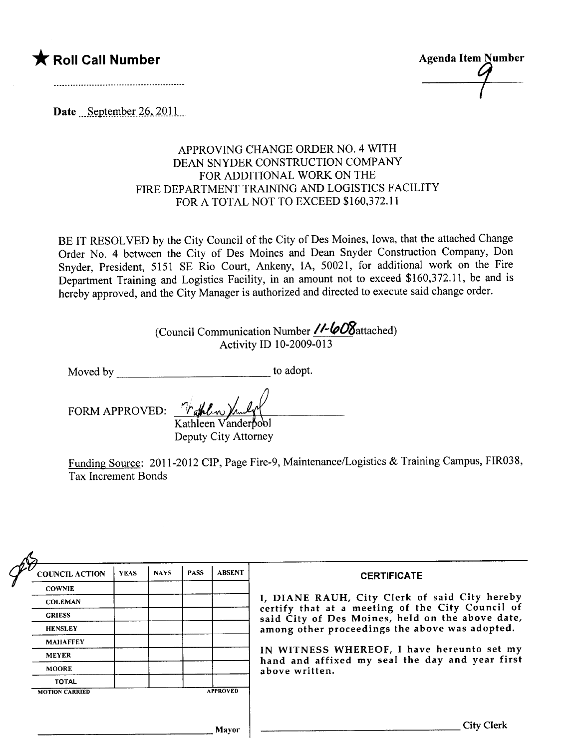

Date September  $26, 2011$ .

## APPROVING CHANGE ORDER NO.4 WITH DEAN SNYDER CONSTRUCTION COMPANY FOR ADDITIONAL WORK ON THE FIRE DEPARTMENT TRAINING AND LOGISTICS FACILITY FOR A TOTAL NOT TO EXCEED \$160,372.11

BE IT RESOLVED by the City Council of the City of Des Moines, Iowa, that the attached Change Order No.4 between the City of Des Moines and Dean Snyder Construction Company, Don Snyder, President, 5151 SE Rio Court, Ankeny, lA, 50021, for additional work on the Fire Department Training and Logistics Facility, in an amount not to exceed \$160,372.11, be and is hereby approved, and the City Manager is authorized and directed to execute said change order.

> (Council Communication Number  $\ell$ - $\omega$ 8attached) Activity ID 10-2009-013

Moved by to adopt.

FORM APPROVED:

Kathleen Vanderpool Deputy City Attorney

Funding Source: 2011-2012 CIP, Page Fire-9, Maintenance/Logistics & Training Campus, FIR038, Tax Increment Bonds

| <b>COUNCIL ACTION</b> | <b>YEAS</b> | <b>NAYS</b> | <b>PASS</b> | <b>ABSENT</b>   | <b>CERTIFICATE</b>                                                                                                                              |  |  |  |
|-----------------------|-------------|-------------|-------------|-----------------|-------------------------------------------------------------------------------------------------------------------------------------------------|--|--|--|
| <b>COWNIE</b>         |             |             |             |                 |                                                                                                                                                 |  |  |  |
| <b>COLEMAN</b>        |             |             |             |                 | I, DIANE RAUH, City Clerk of said City hereby<br>certify that at a meeting of the City Council of                                               |  |  |  |
| <b>GRIESS</b>         |             |             |             |                 | said City of Des Moines, held on the above date,                                                                                                |  |  |  |
| <b>HENSLEY</b>        |             |             |             |                 | among other proceedings the above was adopted.<br>IN WITNESS WHEREOF, I have hereunto set my<br>hand and affixed my seal the day and year first |  |  |  |
| <b>MAHAFFEY</b>       |             |             |             |                 |                                                                                                                                                 |  |  |  |
| <b>MEYER</b>          |             |             |             |                 |                                                                                                                                                 |  |  |  |
| <b>MOORE</b>          |             |             |             |                 | above written.                                                                                                                                  |  |  |  |
| <b>TOTAL</b>          |             |             |             |                 |                                                                                                                                                 |  |  |  |
| <b>MOTION CARRIED</b> |             |             |             | <b>APPROVED</b> |                                                                                                                                                 |  |  |  |